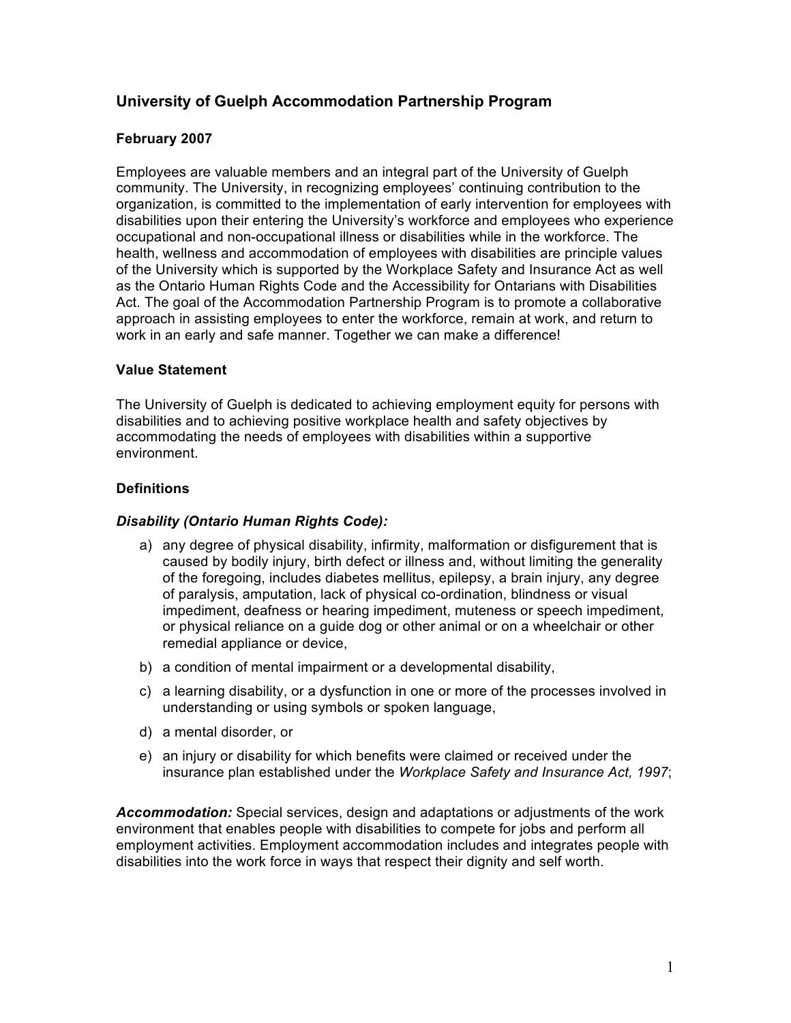# **University of Guelph Accommodation Partnership Program**

### **February 2007**

 Employees are valuable members and an integral part of the University of Guelph community. The University, in recognizing employees' continuing contribution to the organization, is committed to the implementation of early intervention for employees with disabilities upon their entering the University's workforce and employees who experience occupational and non-occupational illness or disabilities while in the workforce. The health, wellness and accommodation of employees with disabilities are principle values of the University which is supported by the Workplace Safety and Insurance Act as well as the Ontario Human Rights Code and the Accessibility for Ontarians with Disabilities Act. The goal of the Accommodation Partnership Program is to promote a collaborative approach in assisting employees to enter the workforce, remain at work, and return to work in an early and safe manner. Together we can make a difference!

#### **Value Statement**

 The University of Guelph is dedicated to achieving employment equity for persons with disabilities and to achieving positive workplace health and safety objectives by accommodating the needs of employees with disabilities within a supportive environment.

#### **Definitions**

#### *Disability (Ontario Human Rights Code):*

- a) any degree of physical disability, infirmity, malformation or disfigurement that is caused by bodily injury, birth defect or illness and, without limiting the generality of the foregoing, includes diabetes mellitus, epilepsy, a brain injury, any degree of paralysis, amputation, lack of physical co-ordination, blindness or visual impediment, deafness or hearing impediment, muteness or speech impediment, or physical reliance on a guide dog or other animal or on a wheelchair or other remedial appliance or device,
- b) a condition of mental impairment or a developmental disability,
- c) a learning disability, or a dysfunction in one or more of the processes involved in understanding or using symbols or spoken language,
- d) a mental disorder, or
- e) an injury or disability for which benefits were claimed or received under the insurance plan established under the *Workplace Safety and Insurance Act, 1997*;

 *Accommodation:* Special services, design and adaptations or adjustments of the work employment activities. Employment accommodation includes and integrates people with disabilities into the work force in ways that respect their dignity and self worth. environment that enables people with disabilities to compete for jobs and perform all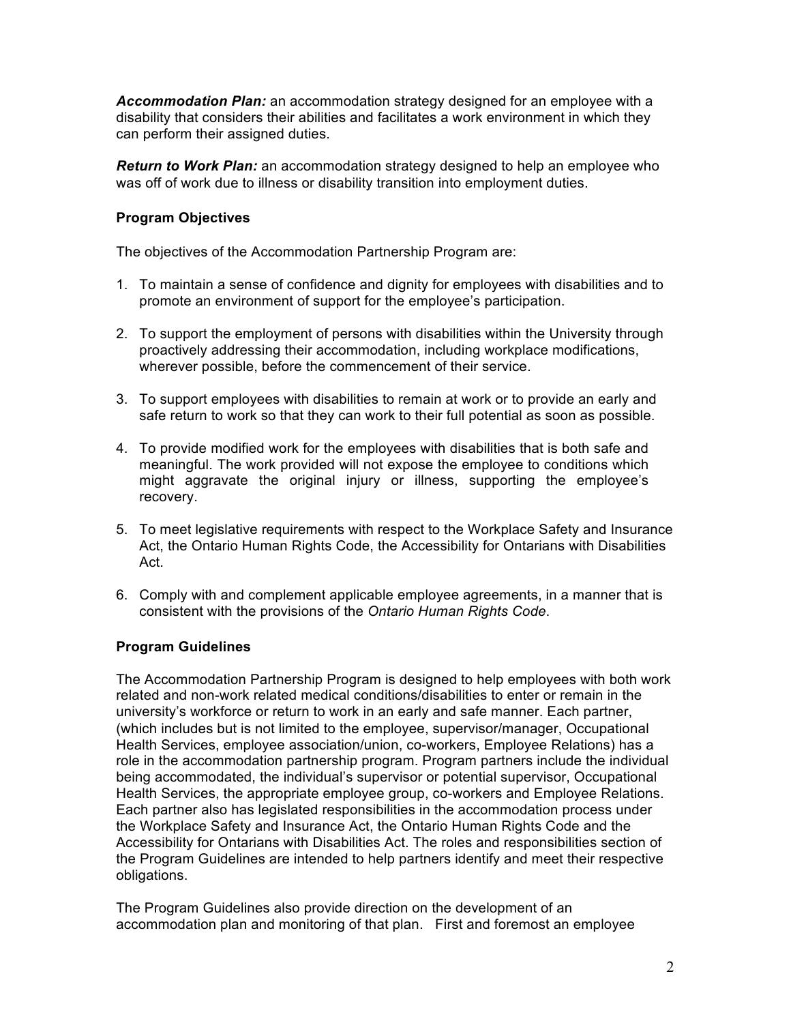Accommodation Plan: an accommodation strategy designed for an employee with a disability that considers their abilities and facilitates a work environment in which they can perform their assigned duties.

**Return to Work Plan:** an accommodation strategy designed to help an employee who was off of work due to illness or disability transition into employment duties.

### **Program Objectives**

The objectives of the Accommodation Partnership Program are:

- 1. To maintain a sense of confidence and dignity for employees with disabilities and to promote an environment of support for the employee's participation.
- 2. To support the employment of persons with disabilities within the University through proactively addressing their accommodation, including workplace modifications, wherever possible, before the commencement of their service.
- 3. To support employees with disabilities to remain at work or to provide an early and safe return to work so that they can work to their full potential as soon as possible.
- 4. To provide modified work for the employees with disabilities that is both safe and meaningful. The work provided will not expose the employee to conditions which might aggravate the original injury or illness, supporting the employee's recovery.
- 5. To meet legislative requirements with respect to the Workplace Safety and Insurance Act, the Ontario Human Rights Code, the Accessibility for Ontarians with Disabilities Act.
- 6. Comply with and complement applicable employee agreements, in a manner that is consistent with the provisions of the *Ontario Human Rights Code*.

### **Program Guidelines**

 The Accommodation Partnership Program is designed to help employees with both work related and non-work related medical conditions/disabilities to enter or remain in the university's workforce or return to work in an early and safe manner. Each partner, (which includes but is not limited to the employee, supervisor/manager, Occupational Health Services, employee association/union, co-workers, Employee Relations) has a role in the accommodation partnership program. Program partners include the individual being accommodated, the individual's supervisor or potential supervisor, Occupational Health Services, the appropriate employee group, co-workers and Employee Relations. Each partner also has legislated responsibilities in the accommodation process under the Workplace Safety and Insurance Act, the Ontario Human Rights Code and the Accessibility for Ontarians with Disabilities Act. The roles and responsibilities section of the Program Guidelines are intended to help partners identify and meet their respective obligations.

 The Program Guidelines also provide direction on the development of an accommodation plan and monitoring of that plan. First and foremost an employee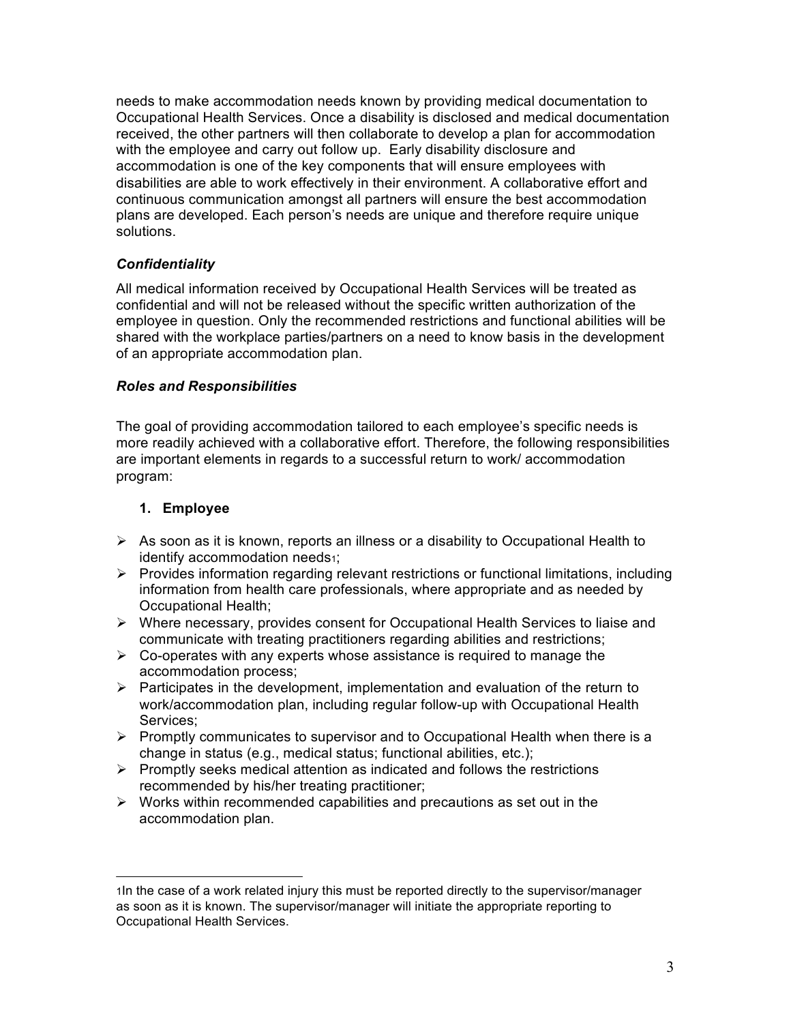needs to make accommodation needs known by providing medical documentation to Occupational Health Services. Once a disability is disclosed and medical documentation received, the other partners will then collaborate to develop a plan for accommodation with the employee and carry out follow up. Early disability disclosure and accommodation is one of the key components that will ensure employees with disabilities are able to work effectively in their environment. A collaborative effort and continuous communication amongst all partners will ensure the best accommodation plans are developed. Each person's needs are unique and therefore require unique solutions.

## *Confidentiality*

 All medical information received by Occupational Health Services will be treated as confidential and will not be released without the specific written authorization of the employee in question. Only the recommended restrictions and functional abilities will be shared with the workplace parties/partners on a need to know basis in the development of an appropriate accommodation plan.

### *Roles and Responsibilities*

 The goal of providing accommodation tailored to each employee's specific needs is more readily achieved with a collaborative effort. Therefore, the following responsibilities are important elements in regards to a successful return to work/ accommodation program:

### **1. Employee**

- $\triangleright$  As soon as it is known, reports an illness or a disability to Occupational Health to identify accommodation needs1;
- $\triangleright$  Provides information regarding relevant restrictions or functional limitations, including information from health care professionals, where appropriate and as needed by Occupational Health;
- • Where necessary, provides consent for Occupational Health Services to liaise and communicate with treating practitioners regarding abilities and restrictions;
- $\triangleright$  Co-operates with any experts whose assistance is required to manage the accommodation process;
- $\triangleright$  Participates in the development, implementation and evaluation of the return to work/accommodation plan, including regular follow-up with Occupational Health Services;
- $\triangleright$  Promptly communicates to supervisor and to Occupational Health when there is a change in status (e.g., medical status; functional abilities, etc.);
- $\triangleright$  Promptly seeks medical attention as indicated and follows the restrictions recommended by his/her treating practitioner;
- $\triangleright$  Works within recommended capabilities and precautions as set out in the accommodation plan.

 as soon as it is known. The supervisor/manager will initiate the appropriate reporting to Occupational Health Services. 1In the case of a work related injury this must be reported directly to the supervisor/manager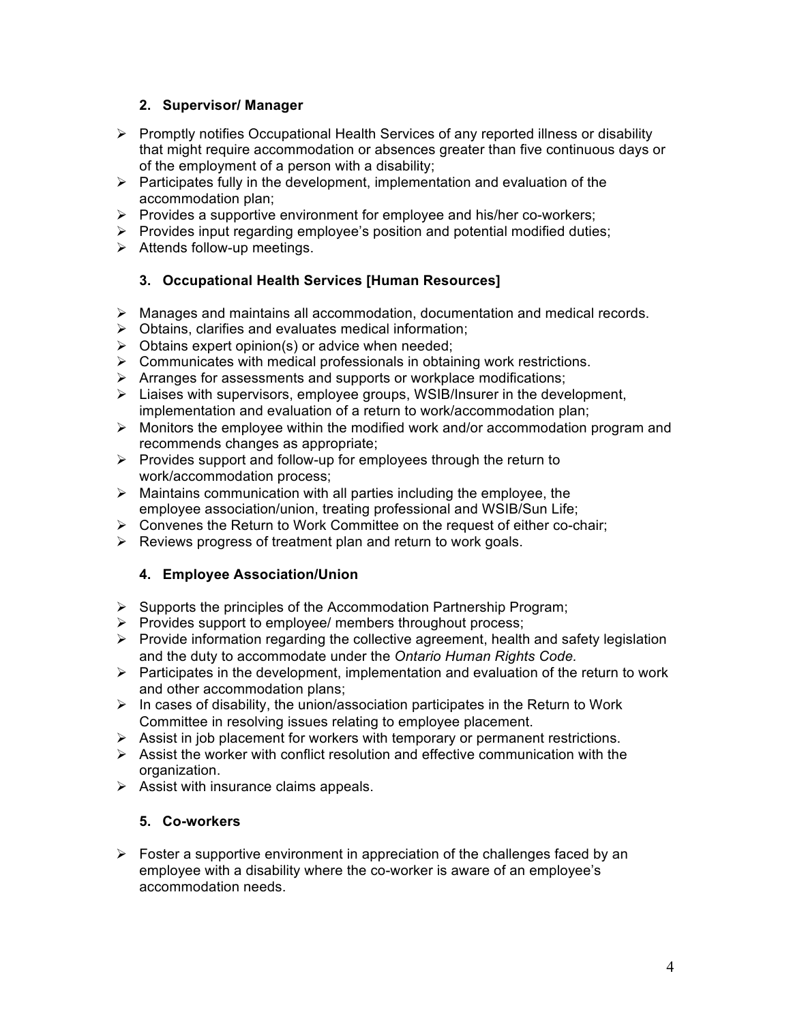# **2. Supervisor/ Manager**

- $\triangleright$  Promptly notifies Occupational Health Services of any reported illness or disability of the employment of a person with a disability; that might require accommodation or absences greater than five continuous days or
- $\triangleright$  Participates fully in the development, implementation and evaluation of the accommodation plan;
- $\triangleright$  Provides a supportive environment for employee and his/her co-workers;
- $\triangleright$  Provides input regarding employee's position and potential modified duties;
- $\triangleright$  Attends follow-up meetings.

# **3. Occupational Health Services [Human Resources]**

- $\triangleright$  Manages and maintains all accommodation, documentation and medical records.
- $\triangleright$  Obtains, clarifies and evaluates medical information;
- $\triangleright$  Obtains expert opinion(s) or advice when needed;
- $\triangleright$  Communicates with medical professionals in obtaining work restrictions.
- $\triangleright$  Arranges for assessments and supports or workplace modifications;
- implementation and evaluation of a return to work/accommodation plan;  $\triangleright$  Liaises with supervisors, employee groups, WSIB/Insurer in the development,
- $\triangleright$  Monitors the employee within the modified work and/or accommodation program and recommends changes as appropriate;
- $\triangleright$  Provides support and follow-up for employees through the return to work/accommodation process;
- $\triangleright$  Maintains communication with all parties including the employee, the employee association/union, treating professional and WSIB/Sun Life;
- $\triangleright$  Convenes the Return to Work Committee on the request of either co-chair;
- $\triangleright$  Reviews progress of treatment plan and return to work goals.

# **4. Employee Association/Union**

- $\triangleright$  Supports the principles of the Accommodation Partnership Program;
- $\triangleright$  Provides support to employee/ members throughout process;
- $\triangleright$  Provide information regarding the collective agreement, health and safety legislation and the duty to accommodate under the *Ontario Human Rights Code.*
- $\triangleright$  Participates in the development, implementation and evaluation of the return to work and other accommodation plans;
- Committee in resolving issues relating to employee placement.  $\triangleright$  In cases of disability, the union/association participates in the Return to Work
- $\triangleright$  Assist in job placement for workers with temporary or permanent restrictions.
- $\triangleright$  Assist the worker with conflict resolution and effective communication with the organization.
- $\triangleright$  Assist with insurance claims appeals.

# **5. Co-workers**

 $\triangleright$  Foster a supportive environment in appreciation of the challenges faced by an employee with a disability where the co-worker is aware of an employee's accommodation needs.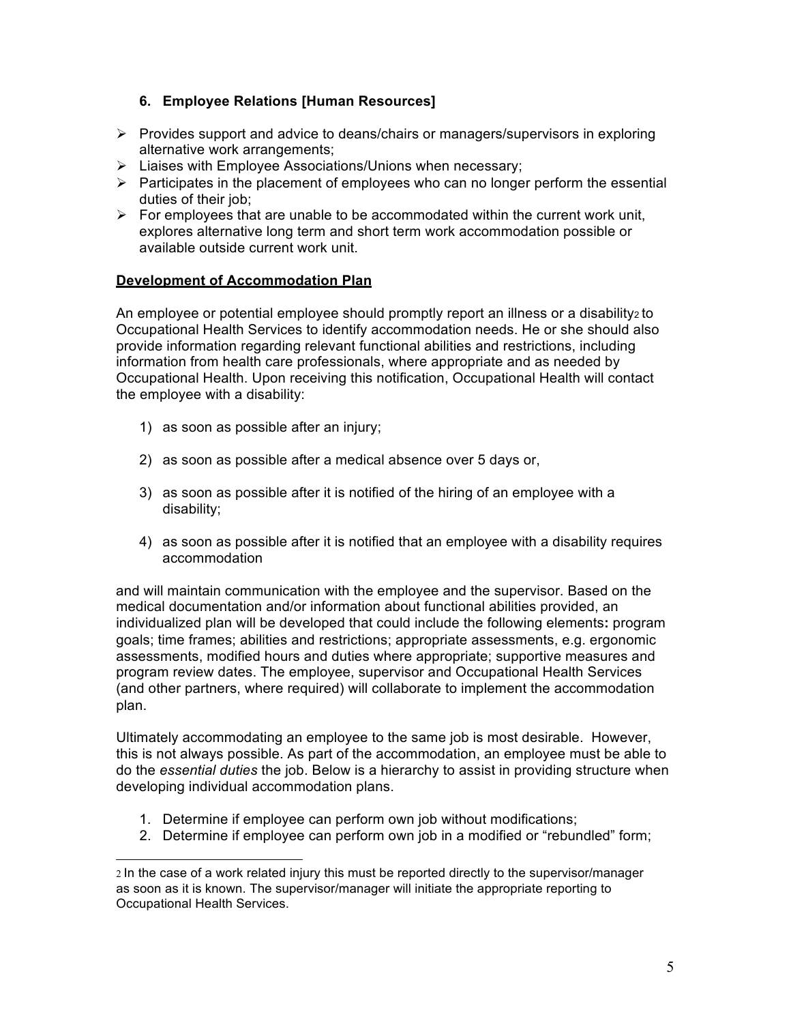# **6. Employee Relations [Human Resources]**

- $\triangleright$  Provides support and advice to deans/chairs or managers/supervisors in exploring alternative work arrangements;
- $\triangleright$  Liaises with Employee Associations/Unions when necessary;
- $\triangleright$  Participates in the placement of employees who can no longer perform the essential duties of their job;
- $\triangleright$  For employees that are unable to be accommodated within the current work unit, explores alternative long term and short term work accommodation possible or available outside current work unit.

### **Development of Accommodation Plan**

An employee or potential employee should promptly report an illness or a disability<sub>2</sub> to Occupational Health Services to identify accommodation needs. He or she should also provide information regarding relevant functional abilities and restrictions, including information from health care professionals, where appropriate and as needed by Occupational Health. Upon receiving this notification, Occupational Health will contact the employee with a disability:

- 1) as soon as possible after an injury;
- 2) as soon as possible after a medical absence over 5 days or,
- 3) as soon as possible after it is notified of the hiring of an employee with a disability;
- 4) as soon as possible after it is notified that an employee with a disability requires accommodation

 medical documentation and/or information about functional abilities provided, an individualized plan will be developed that could include the following elements**:** program goals; time frames; abilities and restrictions; appropriate assessments, e.g. ergonomic assessments, modified hours and duties where appropriate; supportive measures and program review dates. The employee, supervisor and Occupational Health Services (and other partners, where required) will collaborate to implement the accommodation and will maintain communication with the employee and the supervisor. Based on the plan.

 Ultimately accommodating an employee to the same job is most desirable. However,  do the *essential duties* the job. Below is a hierarchy to assist in providing structure when this is not always possible. As part of the accommodation, an employee must be able to developing individual accommodation plans.

- 1. Determine if employee can perform own job without modifications;
- 2. Determine if employee can perform own job in a modified or "rebundled" form;

 as soon as it is known. The supervisor/manager will initiate the appropriate reporting to Occupational Health Services. 2 In the case of a work related injury this must be reported directly to the supervisor/manager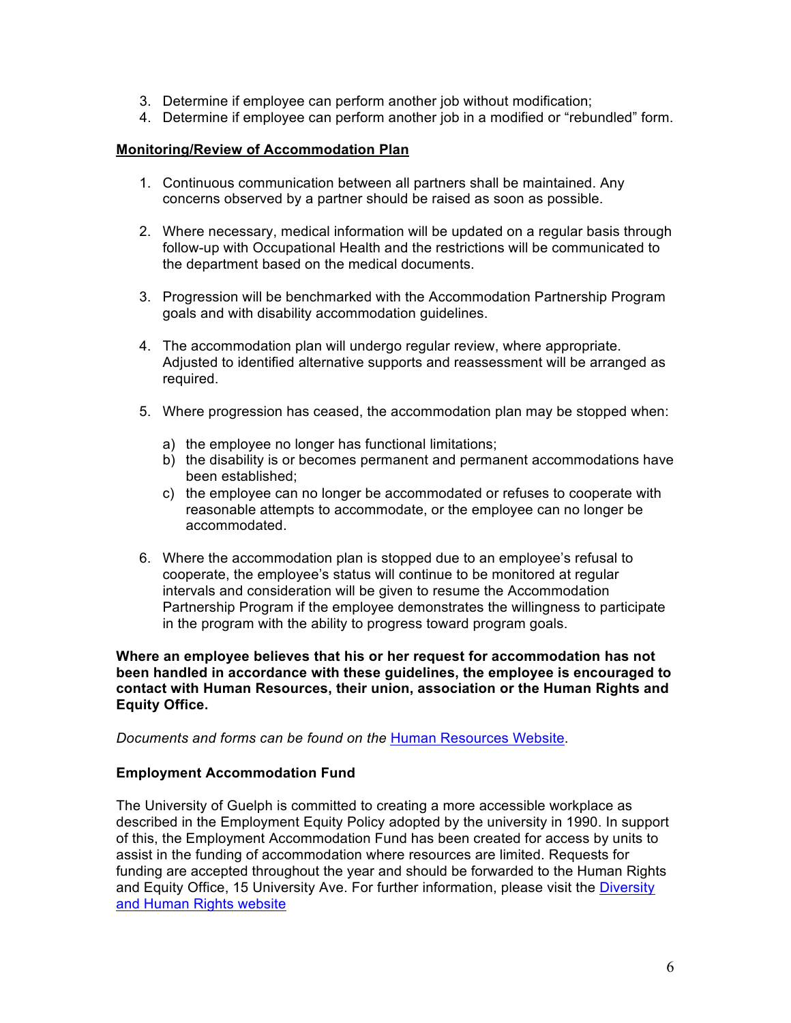- 3. Determine if employee can perform another job without modification;
- 4. Determine if employee can perform another job in a modified or "rebundled" form.

#### **Monitoring/Review of Accommodation Plan**

- 1. Continuous communication between all partners shall be maintained. Any concerns observed by a partner should be raised as soon as possible.
- 2. Where necessary, medical information will be updated on a regular basis through follow-up with Occupational Health and the restrictions will be communicated to the department based on the medical documents.
- 3. Progression will be benchmarked with the Accommodation Partnership Program goals and with disability accommodation guidelines.
- 4. The accommodation plan will undergo regular review, where appropriate. Adjusted to identified alternative supports and reassessment will be arranged as required.
- 5. Where progression has ceased, the accommodation plan may be stopped when:
	- a) the employee no longer has functional limitations;
	- b) the disability is or becomes permanent and permanent accommodations have been established;
	- reasonable attempts to accommodate, or the employee can no longer be c) the employee can no longer be accommodated or refuses to cooperate with accommodated.
- 6. Where the accommodation plan is stopped due to an employee's refusal to cooperate, the employee's status will continue to be monitored at regular intervals and consideration will be given to resume the Accommodation Partnership Program if the employee demonstrates the willingness to participate in the program with the ability to progress toward program goals.

 **Where an employee believes that his or her request for accommodation has not been handled in accordance with these guidelines, the employee is encouraged to contact with Human Resources, their union, association or the Human Rights and Equity Office.** 

 *Documents and forms can be found on the* [Human Resources](https://www.uoguelph.ca/hr/) Website.

### **Employment Accommodation Fund**

 The University of Guelph is committed to creating a more accessible workplace as described in the Employment Equity Policy adopted by the university in 1990. In support of this, the Employment Accommodation Fund has been created for access by units to assist in the funding of accommodation where resources are limited. Requests for and Equity Office, 15 University Ave. For further information, please visit the *Diversity* funding are accepted throughout the year and should be forwarded to the Human Rights and Human Rights website